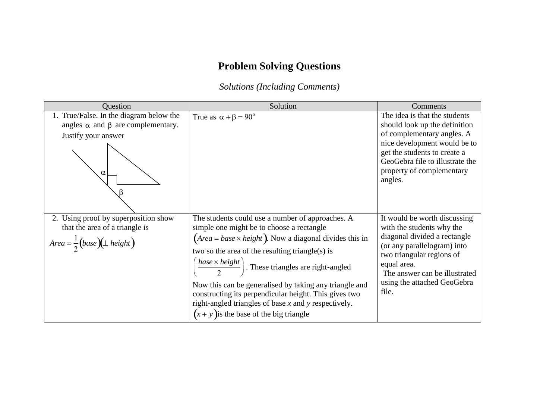## **Problem Solving Questions**

*Solutions (Including Comments)*

| Question                                                                                                                     | Solution                                                                                                                                                                                                                                                                                                                                                                                                                                                                                                                                                              | <b>Comments</b>                                                                                                                                                                                                                               |
|------------------------------------------------------------------------------------------------------------------------------|-----------------------------------------------------------------------------------------------------------------------------------------------------------------------------------------------------------------------------------------------------------------------------------------------------------------------------------------------------------------------------------------------------------------------------------------------------------------------------------------------------------------------------------------------------------------------|-----------------------------------------------------------------------------------------------------------------------------------------------------------------------------------------------------------------------------------------------|
| 1. True/False. In the diagram below the<br>angles $\alpha$ and $\beta$ are complementary.<br>Justify your answer<br>$\alpha$ | True as $\alpha + \beta = 90^\circ$                                                                                                                                                                                                                                                                                                                                                                                                                                                                                                                                   | The idea is that the students<br>should look up the definition<br>of complementary angles. A<br>nice development would be to<br>get the students to create a<br>GeoGebra file to illustrate the<br>property of complementary<br>angles.       |
| 2. Using proof by superposition show<br>that the area of a triangle is<br>$Area = \frac{1}{2}(base)(\perp height)$           | The students could use a number of approaches. A<br>simple one might be to choose a rectangle<br>$\left( \text{Area} = \text{base} \times \text{height} \right)$ . Now a diagonal divides this in<br>two so the area of the resulting triangle(s) is<br>$\left(\frac{base \times height}{best}\right)$ . These triangles are right-angled<br>Now this can be generalised by taking any triangle and<br>constructing its perpendicular height. This gives two<br>right-angled triangles of base $x$ and $y$ respectively.<br>$(x + y)$ is the base of the big triangle | It would be worth discussing<br>with the students why the<br>diagonal divided a rectangle<br>(or any parallelogram) into<br>two triangular regions of<br>equal area.<br>The answer can be illustrated<br>using the attached GeoGebra<br>file. |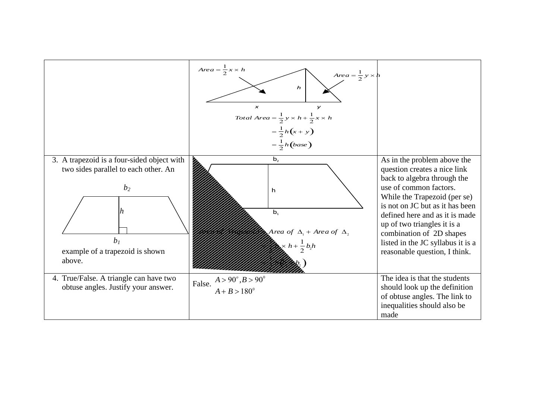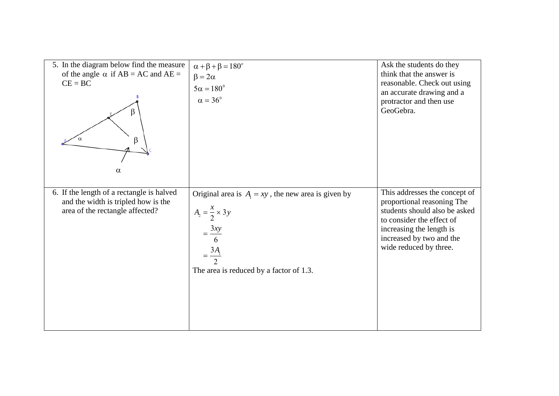| 5. In the diagram below find the measure<br>of the angle $\alpha$ if AB = AC and AE =<br>$CE = BC$<br>β<br>$\alpha$ | $\alpha + \beta + \beta = 180^\circ$<br>$\beta = 2\alpha$<br>$5\alpha = 180^\circ$<br>$\alpha = 36^\circ$                                                                         | Ask the students do they<br>think that the answer is<br>reasonable. Check out using<br>an accurate drawing and a<br>protractor and then use<br>GeoGebra.                                                    |
|---------------------------------------------------------------------------------------------------------------------|-----------------------------------------------------------------------------------------------------------------------------------------------------------------------------------|-------------------------------------------------------------------------------------------------------------------------------------------------------------------------------------------------------------|
| 6. If the length of a rectangle is halved<br>and the width is tripled how is the<br>area of the rectangle affected? | Original area is $A_1 = xy$ , the new area is given by<br>$A_2 = \frac{x}{2} \times 3y$<br>$\frac{3xy}{2}$<br>6<br>$=\frac{3A_{1}}{2}$<br>The area is reduced by a factor of 1.3. | This addresses the concept of<br>proportional reasoning The<br>students should also be asked<br>to consider the effect of<br>increasing the length is<br>increased by two and the<br>wide reduced by three. |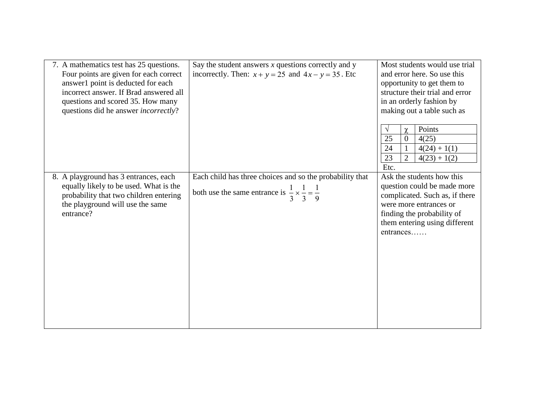| 7. A mathematics test has 25 questions.<br>Four points are given for each correct<br>answer1 point is deducted for each<br>incorrect answer. If Brad answered all<br>questions and scored 35. How many<br>questions did he answer <i>incorrectly</i> ? | Say the student answers $x$ questions correctly and $y$<br>incorrectly. Then: $x + y = 25$ and $4x - y = 35$ . Etc                       | Most students would use trial<br>and error here. So use this<br>opportunity to get them to<br>structure their trial and error<br>in an orderly fashion by<br>making out a table such as<br>Points<br>V<br>$\chi$<br>25<br>4(25)<br>$\Omega$<br>24<br>$4(24) + 1(1)$<br>$\overline{2}$<br>23<br>$4(23) + 1(2)$<br>Etc. |
|--------------------------------------------------------------------------------------------------------------------------------------------------------------------------------------------------------------------------------------------------------|------------------------------------------------------------------------------------------------------------------------------------------|-----------------------------------------------------------------------------------------------------------------------------------------------------------------------------------------------------------------------------------------------------------------------------------------------------------------------|
| 8. A playground has 3 entrances, each<br>equally likely to be used. What is the<br>probability that two children entering<br>the playground will use the same<br>entrance?                                                                             | Each child has three choices and so the probability that<br>both use the same entrance is $\frac{1}{3} \times \frac{1}{3} = \frac{1}{9}$ | Ask the students how this<br>question could be made more<br>complicated. Such as, if there<br>were more entrances or<br>finding the probability of<br>them entering using different<br>entrances                                                                                                                      |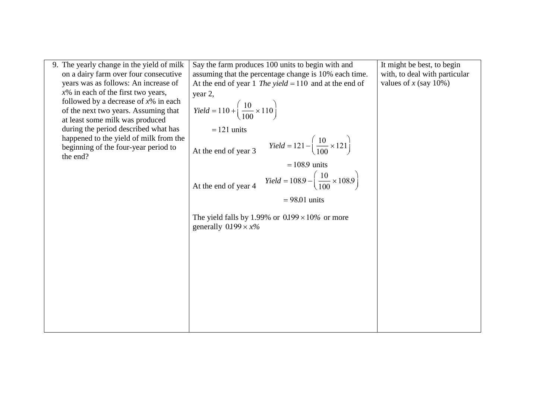| 9. The yearly change in the yield of milk | Say the farm produces 100 units to begin with and                                     | It might be best, to begin    |
|-------------------------------------------|---------------------------------------------------------------------------------------|-------------------------------|
| on a dairy farm over four consecutive     | assuming that the percentage change is 10% each time.                                 | with, to deal with particular |
| years was as follows: An increase of      | At the end of year 1 The yield = 110 and at the end of                                | values of x (say $10\%$ )     |
| $x\%$ in each of the first two years,     | year 2,                                                                               |                               |
| followed by a decrease of $x\%$ in each   |                                                                                       |                               |
| of the next two years. Assuming that      | <i>Yield</i> = 110 + $\left(\frac{10}{100} \times 110\right)$                         |                               |
| at least some milk was produced           |                                                                                       |                               |
| during the period described what has      | $= 121$ units                                                                         |                               |
| happened to the yield of milk from the    |                                                                                       |                               |
| beginning of the four-year period to      | <i>Yield</i> = 121 – $\left(\frac{10}{100} \times 121\right)$<br>At the end of year 3 |                               |
| the end?                                  |                                                                                       |                               |
|                                           | $= 108.9$ units                                                                       |                               |
|                                           | <i>Yield</i> = 108.9 $-{\frac{10}{100}} \times 108.9$                                 |                               |
|                                           | At the end of year 4                                                                  |                               |
|                                           | $= 98.01$ units                                                                       |                               |
|                                           |                                                                                       |                               |
|                                           | The yield falls by 1.99% or $0.199 \times 10\%$ or more                               |                               |
|                                           | generally $0.199 \times x\%$                                                          |                               |
|                                           |                                                                                       |                               |
|                                           |                                                                                       |                               |
|                                           |                                                                                       |                               |
|                                           |                                                                                       |                               |
|                                           |                                                                                       |                               |
|                                           |                                                                                       |                               |
|                                           |                                                                                       |                               |
|                                           |                                                                                       |                               |
|                                           |                                                                                       |                               |
|                                           |                                                                                       |                               |
|                                           |                                                                                       |                               |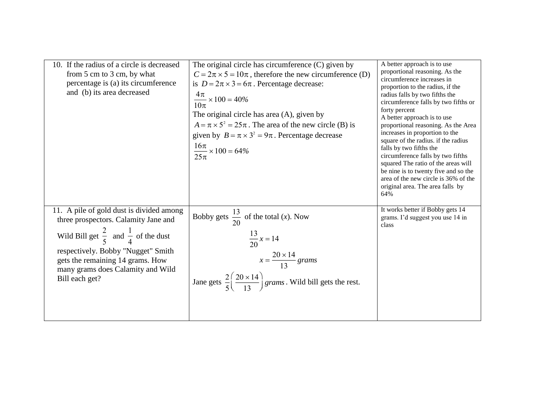| 10. If the radius of a circle is decreased<br>from 5 cm to 3 cm, by what<br>percentage is (a) its circumference<br>and (b) its area decreased                                                                                                                                  | The original circle has circumference (C) given by<br>$C = 2\pi \times 5 = 10\pi$ , therefore the new circumference (D)<br>is $D = 2\pi \times 3 = 6\pi$ . Percentage decrease:<br>$\frac{4\pi}{10\pi}$ × 100 = 40%<br>The original circle has area (A), given by<br>$A = \pi \times 5^2 = 25\pi$ . The area of the new circle (B) is<br>given by $B = \pi \times 3^2 = 9\pi$ . Percentage decrease<br>$\frac{16\pi}{25\pi}$ × 100 = 64% | A better approach is to use<br>proportional reasoning. As the<br>circumference increases in<br>proportion to the radius, if the<br>radius falls by two fifths the<br>circumference falls by two fifths or<br>forty percent<br>A better approach is to use<br>proportional reasoning. As the Area<br>increases in proportion to the<br>square of the radius. if the radius<br>falls by two fifths the<br>circumference falls by two fifths<br>squared The ratio of the areas will<br>be nine is to twenty five and so the<br>area of the new circle is 36% of the<br>original area. The area falls by<br>64% |
|--------------------------------------------------------------------------------------------------------------------------------------------------------------------------------------------------------------------------------------------------------------------------------|------------------------------------------------------------------------------------------------------------------------------------------------------------------------------------------------------------------------------------------------------------------------------------------------------------------------------------------------------------------------------------------------------------------------------------------|-------------------------------------------------------------------------------------------------------------------------------------------------------------------------------------------------------------------------------------------------------------------------------------------------------------------------------------------------------------------------------------------------------------------------------------------------------------------------------------------------------------------------------------------------------------------------------------------------------------|
| 11. A pile of gold dust is divided among<br>three prospectors. Calamity Jane and<br>Wild Bill get $\frac{2}{5}$ and $\frac{1}{4}$ of the dust<br>respectively. Bobby "Nugget" Smith<br>gets the remaining 14 grams. How<br>many grams does Calamity and Wild<br>Bill each get? | Bobby gets $\frac{13}{20}$ of the total (x). Now<br>$\frac{13}{20}x = 14$<br>$x = \frac{20 \times 14}{13}$ grams<br>Jane gets $\frac{2}{5} \left( \frac{20 \times 14}{13} \right)$ grams. Wild bill gets the rest.                                                                                                                                                                                                                       | It works better if Bobby gets 14<br>grams. I'd suggest you use 14 in<br>class                                                                                                                                                                                                                                                                                                                                                                                                                                                                                                                               |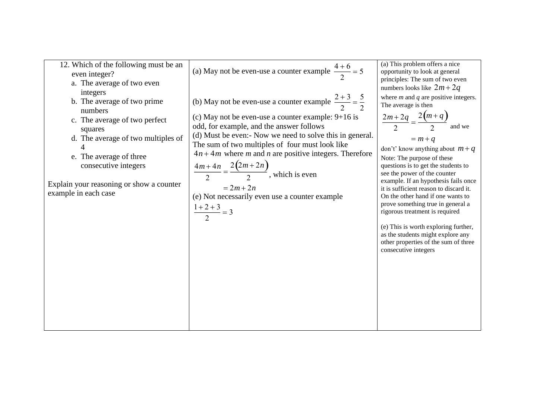| 12. Which of the following must be an<br>even integer?<br>a. The average of two even<br>integers<br>b. The average of two prime<br>numbers<br>c. The average of two perfect<br>squares<br>d. The average of two multiples of<br>4<br>e. The average of three<br>consecutive integers<br>Explain your reasoning or show a counter<br>example in each case | (a) May not be even-use a counter example $\frac{4+6}{2} = 5$<br>(b) May not be even-use a counter example $\frac{2+3}{2} = \frac{5}{2}$<br>(c) May not be even-use a counter example: $9+16$ is<br>odd, for example, and the answer follows<br>(d) Must be even:- Now we need to solve this in general.<br>The sum of two multiples of four must look like<br>$4n + 4m$ where m and n are positive integers. Therefore<br>$\frac{4m+4n}{2} = \frac{2(2m+2n)}{2}$ , which is even<br>$= 2m + 2n$<br>(e) Not necessarily even use a counter example | (a) This problem offers a nice<br>opportunity to look at general<br>principles: The sum of two even<br>numbers looks like $2m+2q$<br>where $m$ and $q$ are positive integers.<br>The average is then<br>$\frac{2m+2q}{2} = \frac{2(m+q)}{2}$<br>and we<br>$= m + q$<br>don't' know anything about $m + q$<br>Note: The purpose of these<br>questions is to get the students to<br>see the power of the counter<br>example. If an hypothesis fails once<br>it is sufficient reason to discard it.<br>On the other hand if one wants to<br>prove something true in general a<br>rigorous treatment is required<br>(e) This is worth exploring further,<br>as the students might explore any<br>other properties of the sum of three<br>consecutive integers |
|----------------------------------------------------------------------------------------------------------------------------------------------------------------------------------------------------------------------------------------------------------------------------------------------------------------------------------------------------------|----------------------------------------------------------------------------------------------------------------------------------------------------------------------------------------------------------------------------------------------------------------------------------------------------------------------------------------------------------------------------------------------------------------------------------------------------------------------------------------------------------------------------------------------------|-----------------------------------------------------------------------------------------------------------------------------------------------------------------------------------------------------------------------------------------------------------------------------------------------------------------------------------------------------------------------------------------------------------------------------------------------------------------------------------------------------------------------------------------------------------------------------------------------------------------------------------------------------------------------------------------------------------------------------------------------------------|
|----------------------------------------------------------------------------------------------------------------------------------------------------------------------------------------------------------------------------------------------------------------------------------------------------------------------------------------------------------|----------------------------------------------------------------------------------------------------------------------------------------------------------------------------------------------------------------------------------------------------------------------------------------------------------------------------------------------------------------------------------------------------------------------------------------------------------------------------------------------------------------------------------------------------|-----------------------------------------------------------------------------------------------------------------------------------------------------------------------------------------------------------------------------------------------------------------------------------------------------------------------------------------------------------------------------------------------------------------------------------------------------------------------------------------------------------------------------------------------------------------------------------------------------------------------------------------------------------------------------------------------------------------------------------------------------------|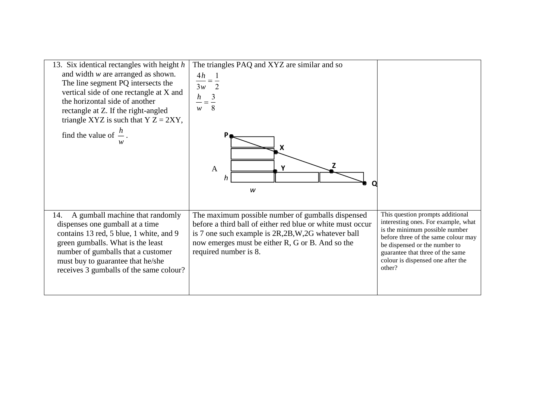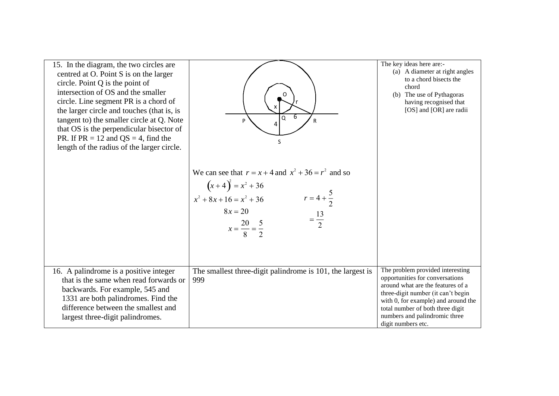| 15. In the diagram, the two circles are<br>centred at O. Point S is on the larger<br>circle. Point $Q$ is the point of<br>intersection of OS and the smaller<br>circle. Line segment PR is a chord of<br>the larger circle and touches (that is, is<br>tangent to) the smaller circle at Q. Note<br>that OS is the perpendicular bisector of<br>PR. If $PR = 12$ and $QS = 4$ , find the<br>length of the radius of the larger circle. | 6<br>$\Omega$<br>P<br>R<br>4<br>S                                                                                                                                                                           | The key ideas here are:-<br>(a) A diameter at right angles<br>to a chord bisects the<br>chord<br>(b) The use of Pythagoras<br>having recognised that<br>[OS] and [OR] are radii                                                                                                  |
|----------------------------------------------------------------------------------------------------------------------------------------------------------------------------------------------------------------------------------------------------------------------------------------------------------------------------------------------------------------------------------------------------------------------------------------|-------------------------------------------------------------------------------------------------------------------------------------------------------------------------------------------------------------|----------------------------------------------------------------------------------------------------------------------------------------------------------------------------------------------------------------------------------------------------------------------------------|
|                                                                                                                                                                                                                                                                                                                                                                                                                                        | We can see that $r = x + 4$ and $x^2 + 36 = r^2$ and so<br>$(x+4)^2 = x^2 + 36$<br>$x^2 + 8x + 16 = x^2 + 36$<br>$r = 4 + \frac{5}{2}$<br>= $\frac{13}{2}$<br>$8x = 20$<br>$x = \frac{20}{8} = \frac{5}{2}$ |                                                                                                                                                                                                                                                                                  |
| 16. A palindrome is a positive integer<br>that is the same when read forwards or<br>backwards. For example, 545 and<br>1331 are both palindromes. Find the<br>difference between the smallest and<br>largest three-digit palindromes.                                                                                                                                                                                                  | The smallest three-digit palindrome is 101, the largest is<br>999                                                                                                                                           | The problem provided interesting<br>opportunities for conversations<br>around what are the features of a<br>three-digit number (it can't begin<br>with 0, for example) and around the<br>total number of both three digit<br>numbers and palindromic three<br>digit numbers etc. |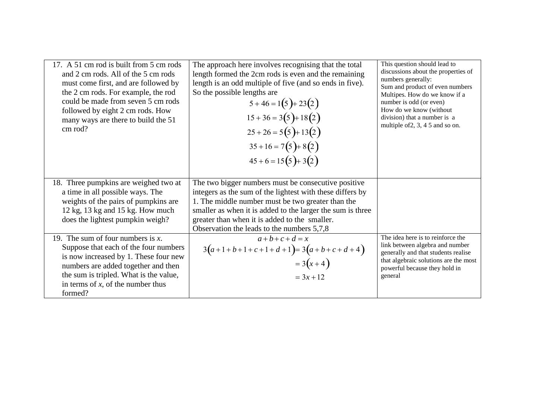| 17. A 51 cm rod is built from 5 cm rods<br>and 2 cm rods. All of the 5 cm rods<br>must come first, and are followed by<br>the 2 cm rods. For example, the rod<br>could be made from seven 5 cm rods<br>followed by eight 2 cm rods. How<br>many ways are there to build the 51<br>cm rod? | The approach here involves recognising that the total<br>length formed the 2cm rods is even and the remaining<br>length is an odd multiple of five (and so ends in five).<br>So the possible lengths are<br>$5+46=1(5)+23(2)$<br>$15 + 36 = 3(5) + 18(2)$<br>$25 + 26 = 5(5) + 13(2)$<br>$35+16=7(5)+8(2)$<br>$45+6=15(5)+3(2)$    | This question should lead to<br>discussions about the properties of<br>numbers generally:<br>Sum and product of even numbers<br>Multipes. How do we know if a<br>number is odd (or even)<br>How do we know (without<br>division) that a number is a<br>multiple of 2, 3, 4 5 and so on. |
|-------------------------------------------------------------------------------------------------------------------------------------------------------------------------------------------------------------------------------------------------------------------------------------------|------------------------------------------------------------------------------------------------------------------------------------------------------------------------------------------------------------------------------------------------------------------------------------------------------------------------------------|-----------------------------------------------------------------------------------------------------------------------------------------------------------------------------------------------------------------------------------------------------------------------------------------|
| 18. Three pumpkins are weighed two at<br>a time in all possible ways. The<br>weights of the pairs of pumpkins are<br>12 kg, 13 kg and 15 kg. How much<br>does the lightest pumpkin weigh?                                                                                                 | The two bigger numbers must be consecutive positive<br>integers as the sum of the lightest with these differs by<br>1. The middle number must be two greater than the<br>smaller as when it is added to the larger the sum is three<br>greater than when it is added to the smaller.<br>Observation the leads to the numbers 5,7,8 |                                                                                                                                                                                                                                                                                         |
| 19. The sum of four numbers is $x$ .<br>Suppose that each of the four numbers<br>is now increased by 1. These four new<br>numbers are added together and then<br>the sum is tripled. What is the value,<br>in terms of $x$ , of the number thus<br>formed?                                | $a+b+c+d=x$<br>$3(a+1+b+1+c+1+d+1)=3(a+b+c+d+4)$<br>$= 3(x+4)$<br>$= 3x + 12$                                                                                                                                                                                                                                                      | The idea here is to reinforce the<br>link between algebra and number<br>generally and that students realise<br>that algebraic solutions are the most<br>powerful because they hold in<br>general                                                                                        |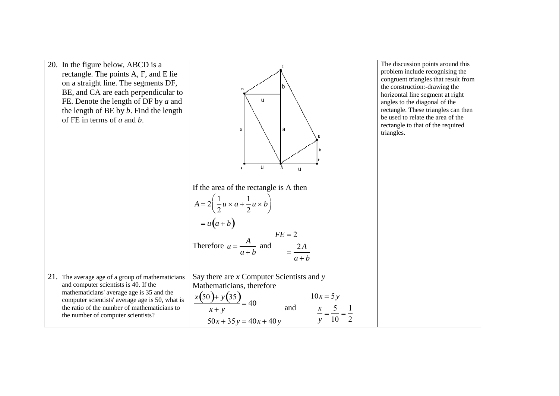| 20. In the figure below, ABCD is a<br>rectangle. The points A, F, and E lie<br>on a straight line. The segments DF,<br>BE, and CA are each perpendicular to<br>FE. Denote the length of DF by $a$ and<br>the length of BE by $b$ . Find the length<br>of FE in terms of $a$ and $b$ . | a<br>$\mathfrak{a}$<br>u<br>ū<br>If the area of the rectangle is A then<br>$A = 2\left(\frac{1}{2}u \times a + \frac{1}{2}u \times b\right)$<br>= $u(a+b)$<br>Therefore $u = \frac{A}{a+b}$ and $\qquad E = 2$<br>$= \frac{2A}{a+b}$ | The discussion points around this<br>problem include recognising the<br>congruent triangles that result from<br>the construction:-drawing the<br>horizontal line segment at right<br>angles to the diagonal of the<br>rectangle. These triangles can then<br>be used to relate the area of the<br>rectangle to that of the required<br>triangles. |
|---------------------------------------------------------------------------------------------------------------------------------------------------------------------------------------------------------------------------------------------------------------------------------------|--------------------------------------------------------------------------------------------------------------------------------------------------------------------------------------------------------------------------------------|---------------------------------------------------------------------------------------------------------------------------------------------------------------------------------------------------------------------------------------------------------------------------------------------------------------------------------------------------|
| 21. The average age of a group of mathematicians<br>and computer scientists is 40. If the<br>mathematicians' average age is 35 and the<br>computer scientists' average age is 50, what is<br>the ratio of the number of mathematicians to<br>the number of computer scientists?       | Say there are $x$ Computer Scientists and $y$<br>Mathematicians, therefore<br>fathermann<br>$x(50) + y(35) = 40$<br>$10x = 5y$<br>and<br>$50x + 35y = 40x + 40y$                                                                     |                                                                                                                                                                                                                                                                                                                                                   |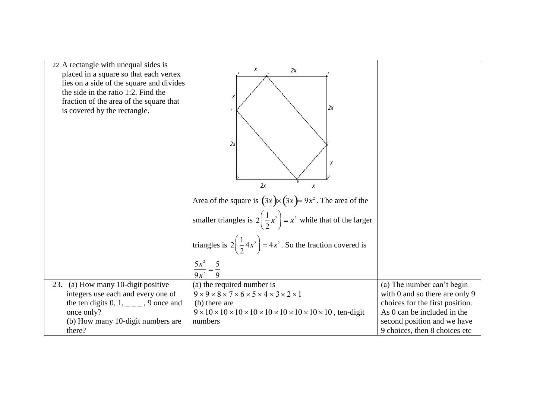| 22. A rectangle with unequal sides is<br>placed in a square so that each vertex<br>lies on a side of the square and divides<br>the side in the ratio 1:2. Find the<br>fraction of the area of the square that<br>is covered by the rectangle. | X<br>2x<br>X<br> 2x <br>2x<br>X<br>2x<br>X<br>Area of the square is $(3x) \times (3x) = 9x^2$ . The area of the<br>smaller triangles is $2\left(\frac{1}{2}x^2\right) = x^2$ while that of the larger<br>triangles is $2\left(\frac{1}{2}4x^2\right) = 4x^2$ . So the fraction covered is |                                                                                                                                                                                                |
|-----------------------------------------------------------------------------------------------------------------------------------------------------------------------------------------------------------------------------------------------|-------------------------------------------------------------------------------------------------------------------------------------------------------------------------------------------------------------------------------------------------------------------------------------------|------------------------------------------------------------------------------------------------------------------------------------------------------------------------------------------------|
|                                                                                                                                                                                                                                               | $rac{5x^2}{9x^2} = \frac{5}{9}$                                                                                                                                                                                                                                                           |                                                                                                                                                                                                |
| (a) How many 10-digit positive<br>23.<br>integers use each and every one of<br>the ten digits 0, 1, $\angle$ – $\angle$ 9 once and<br>once only?<br>(b) How many 10-digit numbers are<br>there?                                               | (a) the required number is<br>$9 \times 9 \times 8 \times 7 \times 6 \times 5 \times 4 \times 3 \times 2 \times 1$<br>(b) there are<br>numbers                                                                                                                                            | (a) The number can't begin<br>with 0 and so there are only 9<br>choices for the first position.<br>As 0 can be included in the<br>second position and we have<br>9 choices, then 8 choices etc |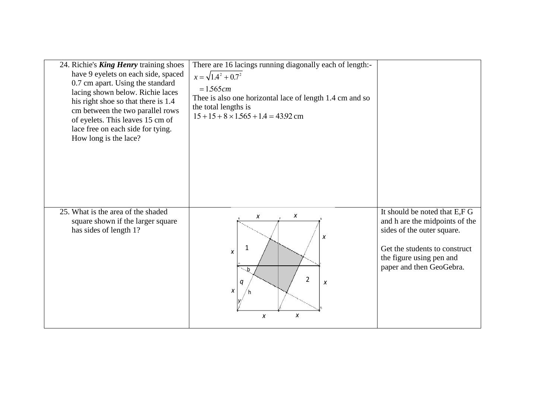| 24. Richie's <b>King Henry</b> training shoes<br>have 9 eyelets on each side, spaced<br>0.7 cm apart. Using the standard<br>lacing shown below. Richie laces<br>his right shoe so that there is 1.4<br>cm between the two parallel rows<br>of eyelets. This leaves 15 cm of<br>lace free on each side for tying.<br>How long is the lace? | There are 16 lacings running diagonally each of length:-<br>$x = \sqrt{1.4^2 + 0.7^2}$<br>$= 1.565 cm$<br>Thee is also one horizontal lace of length 1.4 cm and so<br>the total lengths is<br>$15+15+8 \times 1.565 + 1.4 = 43.92$ cm |                                                                                                                                                                                        |
|-------------------------------------------------------------------------------------------------------------------------------------------------------------------------------------------------------------------------------------------------------------------------------------------------------------------------------------------|---------------------------------------------------------------------------------------------------------------------------------------------------------------------------------------------------------------------------------------|----------------------------------------------------------------------------------------------------------------------------------------------------------------------------------------|
| 25. What is the area of the shaded<br>square shown if the larger square<br>has sides of length 1?                                                                                                                                                                                                                                         | X<br>$\pmb{X}$<br>$\pmb{X}$<br>$\mathbf 1$<br>$\pmb{\chi}$<br>$\ddot{\mathbf{b}}$<br>$\overline{2}$<br>q<br>X<br>X<br>x<br>X                                                                                                          | It should be noted that E,F G<br>and h are the midpoints of the<br>sides of the outer square.<br>Get the students to construct<br>the figure using pen and<br>paper and then GeoGebra. |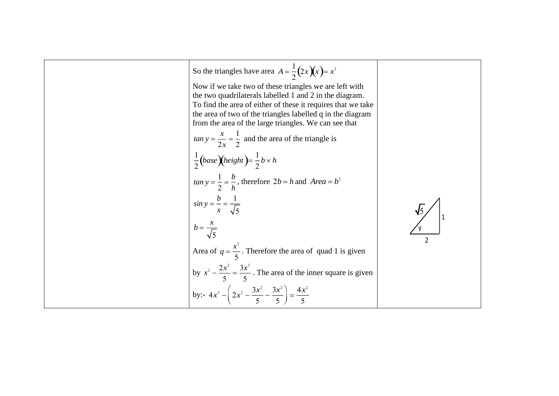So the triangles have area 
$$
A = \frac{1}{2}(2x)(x) = x^2
$$
  
\nNow if we take two of these triangles we are left with  
\nthe two quadrilaterals labelled 1 and 2 in the diagram.  
\nTo find the area of either of these it requires that we take  
\nthe area of two of the triangles labelled q in the diagram  
\nfrom the area of the large triangles. We can see that  
\n
$$
\tan y = \frac{x}{2x} = \frac{1}{2}
$$
 and the area of the triangle is  
\n
$$
\frac{1}{2}(base)(height) = \frac{1}{2}b \times h
$$
\n
$$
\tan y = \frac{1}{2} = \frac{b}{h}
$$
, therefore  $2b = h$  and  $Area = b^2$   
\n
$$
\sin y = \frac{b}{x} = \frac{1}{\sqrt{5}}
$$
\n
$$
b = \frac{x}{\sqrt{5}}
$$
\nArea of  $q = \frac{x^2}{5}$ . Therefore the area of quad 1 is given  
\nby  $x^2 - \frac{2x^2}{5} = \frac{3x^2}{5}$ . The area of the inner square is given  
\nby:  
\n
$$
4x^2 - \left(2x^2 - \frac{3x^2}{5} - \frac{3x^2}{5}\right) = \frac{4x^2}{5}
$$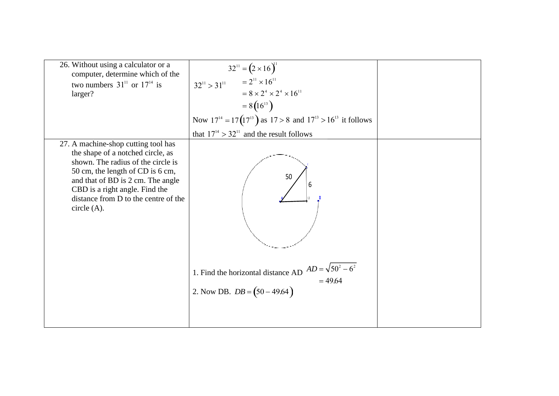| 26. Without using a calculator or a<br>computer, determine which of the<br>two numbers $31^{11}$ or $17^{14}$ is<br>larger?                                                                                                                                                      | $32^{11} = (2 \times 16)^{11}$<br>$= 2^{11} \times 16^{11}$<br>$32^{11} > 31^{11}$<br>$= 8 \times 2^4 \times 2^4 \times 16^{11}$<br>$= 8(16^{13})$<br>Now $17^{14} = 17(17^{13})$ as $17 > 8$ and $17^{13} > 16^{13}$ it follows<br>that $17^{14} > 32^{11}$ and the result follows |  |
|----------------------------------------------------------------------------------------------------------------------------------------------------------------------------------------------------------------------------------------------------------------------------------|-------------------------------------------------------------------------------------------------------------------------------------------------------------------------------------------------------------------------------------------------------------------------------------|--|
| 27. A machine-shop cutting tool has<br>the shape of a notched circle, as<br>shown. The radius of the circle is<br>50 cm, the length of CD is 6 cm,<br>and that of BD is 2 cm. The angle<br>CBD is a right angle. Find the<br>distance from D to the centre of the<br>circle (A). | 50<br>1. Find the horizontal distance AD $AD = \sqrt{50^2 - 6^2}$<br>= 49.64<br>2. Now DB. $DB = (50 - 49.64)$                                                                                                                                                                      |  |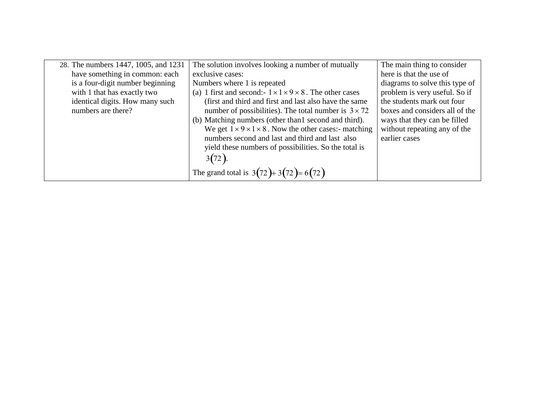| 28. The numbers 1447, 1005, and 1231 | The solution involves looking a number of mutually                        | The main thing to consider     |
|--------------------------------------|---------------------------------------------------------------------------|--------------------------------|
| have something in common: each       | exclusive cases:                                                          | here is that the use of        |
| is a four-digit number beginning     | Numbers where 1 is repeated                                               | diagrams to solve this type of |
| with 1 that has exactly two          | (a) 1 first and second:- $1 \times 1 \times 9 \times 8$ . The other cases | problem is very useful. So if  |
| identical digits. How many such      | (first and third and first and last also have the same                    | the students mark out four     |
| numbers are there?                   | number of possibilities). The total number is $3 \times 72$               | boxes and considers all of the |
|                                      | (b) Matching numbers (other than 1 second and third).                     | ways that they can be filled   |
|                                      | We get $1 \times 9 \times 1 \times 8$ . Now the other cases:- matching    | without repeating any of the   |
|                                      | numbers second and last and third and last also                           | earlier cases                  |
|                                      | yield these numbers of possibilities. So the total is                     |                                |
|                                      | 3(72)                                                                     |                                |
|                                      |                                                                           |                                |
|                                      | The grand total is $3(72) + 3(72) = 6(72)$                                |                                |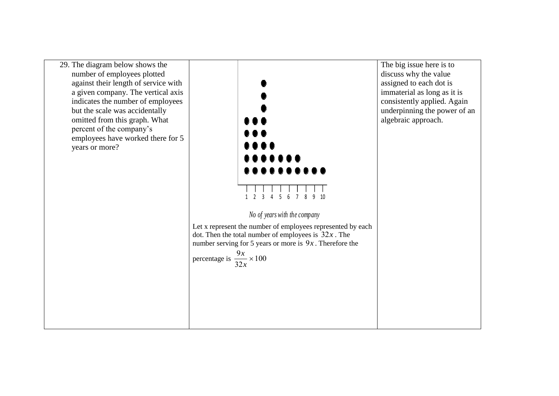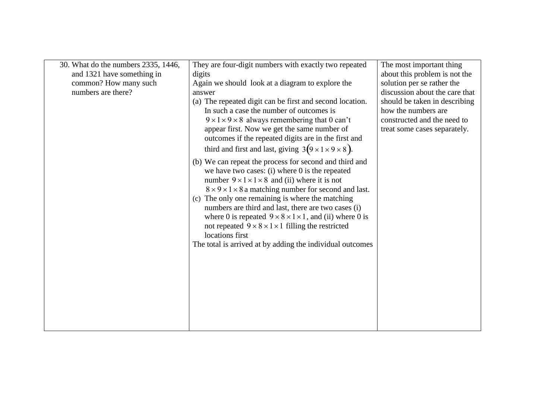| 30. What do the numbers 2335, 1446,<br>and 1321 have something in<br>common? How many such<br>numbers are there? | They are four-digit numbers with exactly two repeated<br>digits<br>Again we should look at a diagram to explore the<br>answer                                                                                                                                                                                                                                                                                                                                                                                                                                                                      | The most important thing<br>about this problem is not the<br>solution per se rather the<br>discussion about the care that |
|------------------------------------------------------------------------------------------------------------------|----------------------------------------------------------------------------------------------------------------------------------------------------------------------------------------------------------------------------------------------------------------------------------------------------------------------------------------------------------------------------------------------------------------------------------------------------------------------------------------------------------------------------------------------------------------------------------------------------|---------------------------------------------------------------------------------------------------------------------------|
|                                                                                                                  | (a) The repeated digit can be first and second location.<br>In such a case the number of outcomes is<br>$9 \times 1 \times 9 \times 8$ always remembering that 0 can't<br>appear first. Now we get the same number of<br>outcomes if the repeated digits are in the first and<br>third and first and last, giving $3(9 \times 1 \times 9 \times 8)$ .                                                                                                                                                                                                                                              | should be taken in describing<br>how the numbers are.<br>constructed and the need to<br>treat some cases separately.      |
|                                                                                                                  | (b) We can repeat the process for second and third and<br>we have two cases: $(i)$ where 0 is the repeated<br>number $9 \times 1 \times 1 \times 8$ and (ii) where it is not<br>$8 \times 9 \times 1 \times 8$ a matching number for second and last.<br>(c) The only one remaining is where the matching<br>numbers are third and last, there are two cases (i)<br>where 0 is repeated $9 \times 8 \times 1 \times 1$ , and (ii) where 0 is<br>not repeated $9 \times 8 \times 1 \times 1$ filling the restricted<br>locations first<br>The total is arrived at by adding the individual outcomes |                                                                                                                           |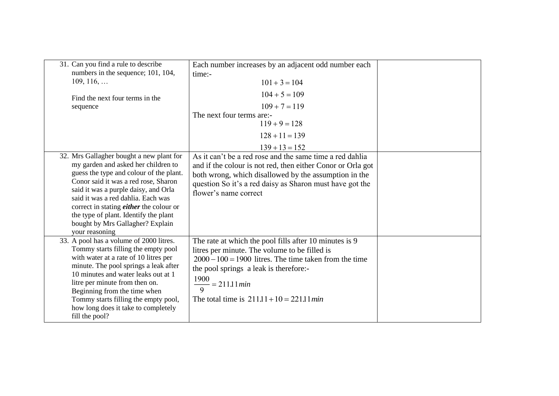| 31. Can you find a rule to describe<br>numbers in the sequence; 101, 104,<br>$109, 116, \ldots$<br>Find the next four terms in the<br>sequence                                                                                                                                                                                                                                                    | Each number increases by an adjacent odd number each<br>time:-<br>$101 + 3 = 104$<br>$104 + 5 = 109$<br>$109 + 7 = 119$<br>The next four terms are:-<br>$119 + 9 = 128$<br>$128 + 11 = 139$<br>$139 + 13 = 152$                                                                                               |  |
|---------------------------------------------------------------------------------------------------------------------------------------------------------------------------------------------------------------------------------------------------------------------------------------------------------------------------------------------------------------------------------------------------|---------------------------------------------------------------------------------------------------------------------------------------------------------------------------------------------------------------------------------------------------------------------------------------------------------------|--|
| 32. Mrs Gallagher bought a new plant for<br>my garden and asked her children to<br>guess the type and colour of the plant.<br>Conor said it was a red rose, Sharon<br>said it was a purple daisy, and Orla<br>said it was a red dahlia. Each was<br>correct in stating <i>either</i> the colour or<br>the type of plant. Identify the plant<br>bought by Mrs Gallagher? Explain<br>your reasoning | As it can't be a red rose and the same time a red dahlia<br>and if the colour is not red, then either Conor or Orla got<br>both wrong, which disallowed by the assumption in the<br>question So it's a red daisy as Sharon must have got the<br>flower's name correct                                         |  |
| 33. A pool has a volume of 2000 litres.<br>Tommy starts filling the empty pool<br>with water at a rate of 10 litres per<br>minute. The pool springs a leak after<br>10 minutes and water leaks out at 1<br>litre per minute from then on.<br>Beginning from the time when<br>Tommy starts filling the empty pool,<br>how long does it take to completely<br>fill the pool?                        | The rate at which the pool fills after 10 minutes is 9<br>litres per minute. The volume to be filled is<br>$2000 - 100 = 1900$ litres. The time taken from the time<br>the pool springs a leak is therefore:-<br>1900<br>$\frac{1200}{9}$ = 211.11 <i>min</i><br>The total time is $211.11 + 10 = 221.11$ min |  |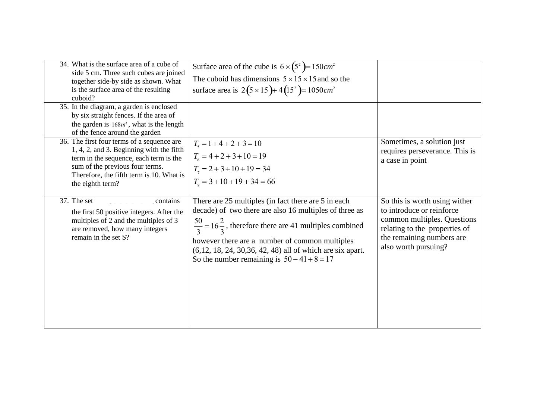| 34. What is the surface area of a cube of<br>side 5 cm. Three such cubes are joined<br>together side-by side as shown. What<br>is the surface area of the resulting<br>cuboid?                                                      | Surface area of the cube is $6 \times (5^2) = 150 \text{ cm}^2$<br>The cuboid has dimensions $5 \times 15 \times 15$ and so the<br>surface area is $2(5 \times 15) + 4(15^2) = 1050$ cm <sup>2</sup>                                                                                                                                                        |                                                                                                                                                                                 |
|-------------------------------------------------------------------------------------------------------------------------------------------------------------------------------------------------------------------------------------|-------------------------------------------------------------------------------------------------------------------------------------------------------------------------------------------------------------------------------------------------------------------------------------------------------------------------------------------------------------|---------------------------------------------------------------------------------------------------------------------------------------------------------------------------------|
| 35. In the diagram, a garden is enclosed<br>by six straight fences. If the area of<br>the garden is $168m^2$ , what is the length<br>of the fence around the garden                                                                 |                                                                                                                                                                                                                                                                                                                                                             |                                                                                                                                                                                 |
| 36. The first four terms of a sequence are<br>1, 4, 2, and 3. Beginning with the fifth<br>term in the sequence, each term is the<br>sum of the previous four terms.<br>Therefore, the fifth term is 10. What is<br>the eighth term? | $T_{\rm s} = 1 + 4 + 2 + 3 = 10$<br>$T_{6} = 4 + 2 + 3 + 10 = 19$<br>$T_1 = 2 + 3 + 10 + 19 = 34$<br>$T_s = 3 + 10 + 19 + 34 = 66$                                                                                                                                                                                                                          | Sometimes, a solution just<br>requires perseverance. This is<br>a case in point                                                                                                 |
| 37. The set contains<br>the first 50 positive integers. After the<br>multiples of 2 and the multiples of 3<br>are removed, how many integers<br>remain in the set S?                                                                | There are 25 multiples (in fact there are 5 in each<br>decade) of two there are also 16 multiples of three as<br>$\frac{50}{3}$ = 16 $\frac{2}{3}$ , therefore there are 41 multiples combined<br>however there are a number of common multiples<br>$(6,12, 18, 24, 30, 36, 42, 48)$ all of which are six apart.<br>So the number remaining is $50-41+8=17$ | So this is worth using wither<br>to introduce or reinforce<br>common multiples. Questions<br>relating to the properties of<br>the remaining numbers are<br>also worth pursuing? |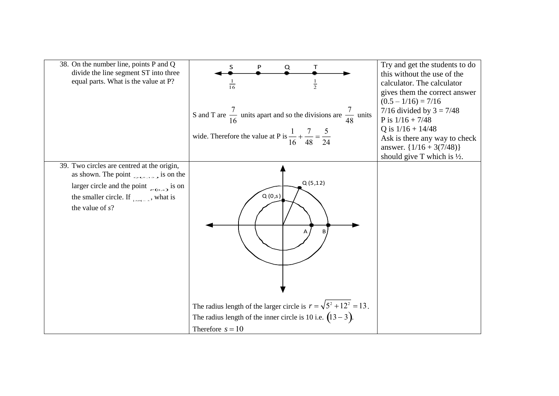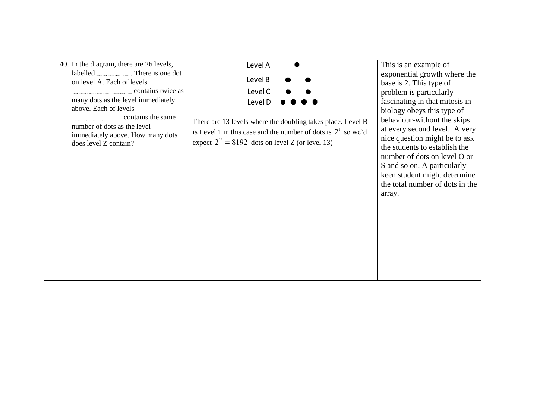| 40. In the diagram, there are 26 levels,   | Level A                                                         | This is an example of           |
|--------------------------------------------|-----------------------------------------------------------------|---------------------------------|
| labelled $\sim$ There is one dot           |                                                                 | exponential growth where the    |
| on level A. Each of levels                 | Level B                                                         | base is 2. This type of         |
| $\overline{\phantom{a}}$ contains twice as | Level C                                                         | problem is particularly         |
| many dots as the level immediately         |                                                                 | fascinating in that mitosis in  |
| above. Each of levels                      | Level D                                                         | biology obeys this type of      |
| $\frac{1}{2}$ contains the same            |                                                                 |                                 |
| number of dots as the level                | There are 13 levels where the doubling takes place. Level B     | behaviour-without the skips     |
| immediately above. How many dots           | is Level 1 in this case and the number of dots is $2^1$ so we'd | at every second level. A very   |
| does level Z contain?                      | expect $2^{13} = 8192$ dots on level Z (or level 13)            | nice question might be to ask   |
|                                            |                                                                 | the students to establish the   |
|                                            |                                                                 | number of dots on level O or    |
|                                            |                                                                 | S and so on. A particularly     |
|                                            |                                                                 | keen student might determine    |
|                                            |                                                                 | the total number of dots in the |
|                                            |                                                                 | array.                          |
|                                            |                                                                 |                                 |
|                                            |                                                                 |                                 |
|                                            |                                                                 |                                 |
|                                            |                                                                 |                                 |
|                                            |                                                                 |                                 |
|                                            |                                                                 |                                 |
|                                            |                                                                 |                                 |
|                                            |                                                                 |                                 |
|                                            |                                                                 |                                 |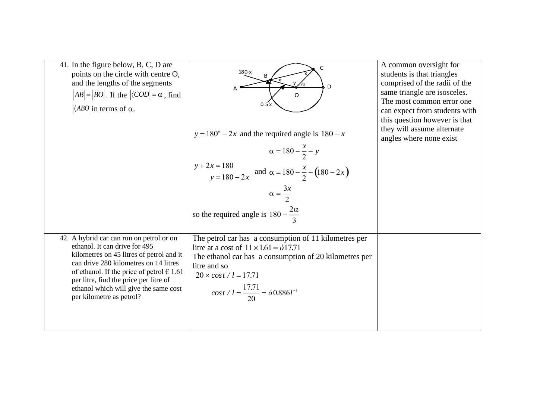| 41. In the figure below, B, C, D are<br>points on the circle with centre O,<br>and the lengths of the segments<br>$ AB  =  BO $ . If the $ \langle COD  = \alpha$ , find<br>$\vert \langle ABO \vert$ in terms of $\alpha$ .                                                                                                   | C<br>$180-x$<br>, D<br>A<br>$\Omega$<br>0.5x<br>$y = 180^\circ - 2x$ and the required angle is $180 - x$<br>$\alpha = 180 - \frac{x}{2} - y$<br>$y+2x = 180$<br>$y = 180 - 2x$ and $\alpha = 180 - \frac{x}{2} - (180 - 2x)$<br>$\alpha = \frac{3x}{2}$                                                                | A common oversight for<br>students is that triangles<br>comprised of the radii of the<br>same triangle are isosceles.<br>The most common error one<br>can expect from students with<br>this question however is that<br>they will assume alternate<br>angles where none exist |
|--------------------------------------------------------------------------------------------------------------------------------------------------------------------------------------------------------------------------------------------------------------------------------------------------------------------------------|------------------------------------------------------------------------------------------------------------------------------------------------------------------------------------------------------------------------------------------------------------------------------------------------------------------------|-------------------------------------------------------------------------------------------------------------------------------------------------------------------------------------------------------------------------------------------------------------------------------|
| 42. A hybrid car can run on petrol or on<br>ethanol. It can drive for 495<br>kilometres on 45 litres of petrol and it<br>can drive 280 kilometres on 14 litres<br>of ethanol. If the price of petrol $\in$ 1.61<br>per litre, find the price per litre of<br>ethanol which will give the same cost<br>per kilometre as petrol? | so the required angle is $180 - \frac{2\alpha}{3}$<br>The petrol car has a consumption of 11 kilometres per<br>litre at a cost of $11 \times 1.61 = 617.71$<br>The ethanol car has a consumption of 20 kilometres per<br>litre and so<br>$20 \times cost / l = 17.71$<br>$cost / l = \frac{17.71}{20} = 60.886 l^{-1}$ |                                                                                                                                                                                                                                                                               |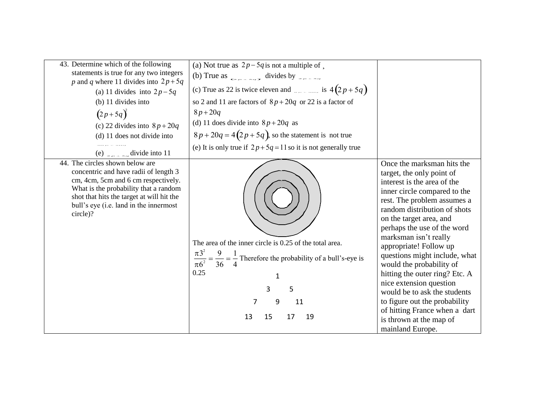| 43. Determine which of the following<br>statements is true for any two integers<br>p and q where 11 divides into $2p+5q$<br>(a) 11 divides into $2p-5q$<br>$(b)$ 11 divides into<br>$(2p+5q)^2$<br>(c) 22 divides into $8p + 20q$<br>(d) 11 does not divide into<br>(e) $\epsilon$ = $\epsilon$ = $\epsilon$ divide into 11 | (a) Not true as $2p-5q$ is not a multiple of,<br>(b) True as $\frac{1}{2}$ divides by<br>(c) True as 22 is twice eleven and $\frac{1}{2}$ is $4(2p+5q)$<br>so 2 and 11 are factors of $8p + 20q$ or 22 is a factor of<br>$8p + 20q$<br>(d) 11 does divide into $8p + 20q$ as<br>$8p + 20q = 4(2p + 5q)$ , so the statement is not true<br>(e) It is only true if $2p+5q=11$ so it is not generally true |                                                                                                                                                                                                                                                                                                                                                                                                                                                                                                                                                                               |
|-----------------------------------------------------------------------------------------------------------------------------------------------------------------------------------------------------------------------------------------------------------------------------------------------------------------------------|---------------------------------------------------------------------------------------------------------------------------------------------------------------------------------------------------------------------------------------------------------------------------------------------------------------------------------------------------------------------------------------------------------|-------------------------------------------------------------------------------------------------------------------------------------------------------------------------------------------------------------------------------------------------------------------------------------------------------------------------------------------------------------------------------------------------------------------------------------------------------------------------------------------------------------------------------------------------------------------------------|
| 44. The circles shown below are<br>concentric and have radii of length 3<br>cm, 4cm, 5cm and 6 cm respectively.<br>What is the probability that a random<br>shot that hits the target at will hit the<br>bull's eye (i.e. land in the innermost<br>circle)?                                                                 | The area of the inner circle is 0.25 of the total area.<br>$\pi3^2$<br>$\frac{\pi 3^2}{\pi 6^2} = \frac{9}{36} = \frac{1}{4}$ Therefore the probability of a bull's-eye is<br>0.25<br>1<br>5<br>3<br>11<br>7<br>9<br>15<br>19<br>13<br>17                                                                                                                                                               | Once the marksman hits the<br>target, the only point of<br>interest is the area of the<br>inner circle compared to the<br>rest. The problem assumes a<br>random distribution of shots<br>on the target area, and<br>perhaps the use of the word<br>marksman isn't really<br>appropriate! Follow up<br>questions might include, what<br>would the probability of<br>hitting the outer ring? Etc. A<br>nice extension question<br>would be to ask the students<br>to figure out the probability<br>of hitting France when a dart<br>is thrown at the map of<br>mainland Europe. |